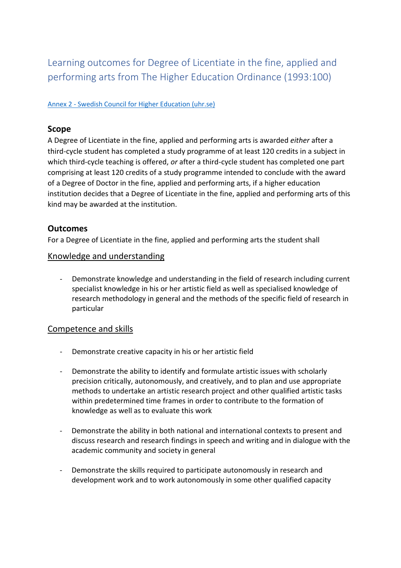Learning outcomes for Degree of Licentiate in the fine, applied and performing arts from The Higher Education Ordinance (1993:100)

#### Annex 2 - [Swedish Council for Higher Education \(uhr.se\)](https://www.uhr.se/en/start/laws-and-regulations/Laws-and-regulations/The-Higher-Education-Ordinance/Annex-2/#Doctor)

#### **Scope**

A Degree of Licentiate in the fine, applied and performing arts is awarded *either* after a third-cycle student has completed a study programme of at least 120 credits in a subject in which third-cycle teaching is offered, *or* after a third-cycle student has completed one part comprising at least 120 credits of a study programme intended to conclude with the award of a Degree of Doctor in the fine, applied and performing arts, if a higher education institution decides that a Degree of Licentiate in the fine, applied and performing arts of this kind may be awarded at the institution.

## **Outcomes**

For a Degree of Licentiate in the fine, applied and performing arts the student shall

#### Knowledge and understanding

Demonstrate knowledge and understanding in the field of research including current specialist knowledge in his or her artistic field as well as specialised knowledge of research methodology in general and the methods of the specific field of research in particular

## Competence and skills

- Demonstrate creative capacity in his or her artistic field
- Demonstrate the ability to identify and formulate artistic issues with scholarly precision critically, autonomously, and creatively, and to plan and use appropriate methods to undertake an artistic research project and other qualified artistic tasks within predetermined time frames in order to contribute to the formation of knowledge as well as to evaluate this work
- Demonstrate the ability in both national and international contexts to present and discuss research and research findings in speech and writing and in dialogue with the academic community and society in general
- Demonstrate the skills required to participate autonomously in research and development work and to work autonomously in some other qualified capacity